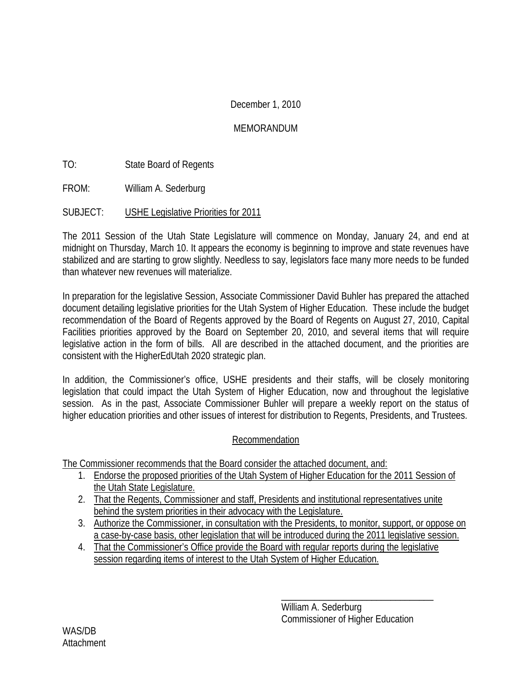### December 1, 2010

### MEMORANDUM

TO: State Board of Regents

FROM: William A. Sederburg

SUBJECT: USHE Legislative Priorities for 2011

The 2011 Session of the Utah State Legislature will commence on Monday, January 24, and end at midnight on Thursday, March 10. It appears the economy is beginning to improve and state revenues have stabilized and are starting to grow slightly. Needless to say, legislators face many more needs to be funded than whatever new revenues will materialize.

In preparation for the legislative Session, Associate Commissioner David Buhler has prepared the attached document detailing legislative priorities for the Utah System of Higher Education. These include the budget recommendation of the Board of Regents approved by the Board of Regents on August 27, 2010, Capital Facilities priorities approved by the Board on September 20, 2010, and several items that will require legislative action in the form of bills. All are described in the attached document, and the priorities are consistent with the HigherEdUtah 2020 strategic plan.

In addition, the Commissioner's office, USHE presidents and their staffs, will be closely monitoring legislation that could impact the Utah System of Higher Education, now and throughout the legislative session. As in the past, Associate Commissioner Buhler will prepare a weekly report on the status of higher education priorities and other issues of interest for distribution to Regents, Presidents, and Trustees.

#### Recommendation

The Commissioner recommends that the Board consider the attached document, and:

- 1. Endorse the proposed priorities of the Utah System of Higher Education for the 2011 Session of the Utah State Legislature.
- 2. That the Regents, Commissioner and staff, Presidents and institutional representatives unite behind the system priorities in their advocacy with the Legislature.
- 3. Authorize the Commissioner, in consultation with the Presidents, to monitor, support, or oppose on a case-by-case basis, other legislation that will be introduced during the 2011 legislative session.
- 4. That the Commissioner's Office provide the Board with regular reports during the legislative session regarding items of interest to the Utah System of Higher Education.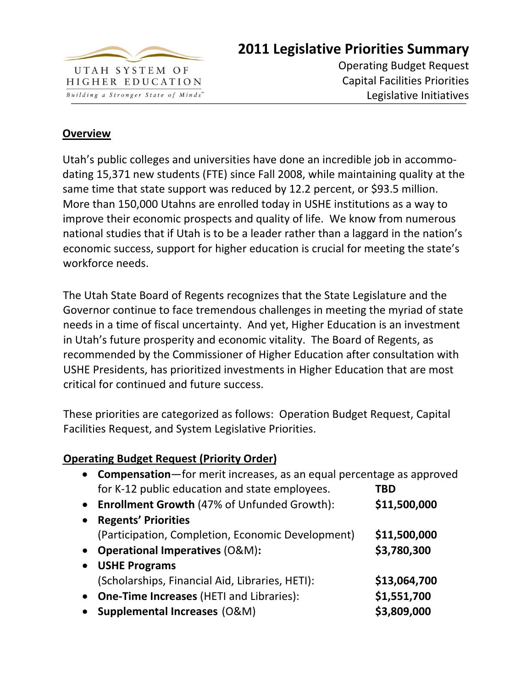

# **2011 Legislative Priorities Summary**

Operating Budget Request Capital Facilities Priorities Legislative Initiatives

## **Overview**

Utah's public colleges and universities have done an incredible job in accommo‐ dating 15,371 new students (FTE) since Fall 2008, while maintaining quality at the same time that state support was reduced by 12.2 percent, or \$93.5 million. More than 150,000 Utahns are enrolled today in USHE institutions as a way to improve their economic prospects and quality of life. We know from numerous national studies that if Utah is to be a leader rather than a laggard in the nation's economic success, support for higher education is crucial for meeting the state's workforce needs.

The Utah State Board of Regents recognizes that the State Legislature and the Governor continue to face tremendous challenges in meeting the myriad of state needs in a time of fiscal uncertainty. And yet, Higher Education is an investment in Utah's future prosperity and economic vitality. The Board of Regents, as recommended by the Commissioner of Higher Education after consultation with USHE Presidents, has prioritized investments in Higher Education that are most critical for continued and future success.

These priorities are categorized as follows: Operation Budget Request, Capital Facilities Request, and System Legislative Priorities.

## **Operating Budget Request (Priority Order)**

|           | • Compensation-for merit increases, as an equal percentage as approved |              |  |
|-----------|------------------------------------------------------------------------|--------------|--|
|           | for K-12 public education and state employees.                         | TBD          |  |
|           | • Enrollment Growth (47% of Unfunded Growth):                          | \$11,500,000 |  |
| $\bullet$ | <b>Regents' Priorities</b>                                             |              |  |
|           | (Participation, Completion, Economic Development)                      | \$11,500,000 |  |
| $\bullet$ | <b>Operational Imperatives (O&amp;M):</b>                              | \$3,780,300  |  |
| $\bullet$ | <b>USHE Programs</b>                                                   |              |  |
|           | (Scholarships, Financial Aid, Libraries, HETI):                        | \$13,064,700 |  |
| $\bullet$ | <b>One-Time Increases (HETI and Libraries):</b>                        | \$1,551,700  |  |
| $\bullet$ | <b>Supplemental Increases (O&amp;M)</b>                                | \$3,809,000  |  |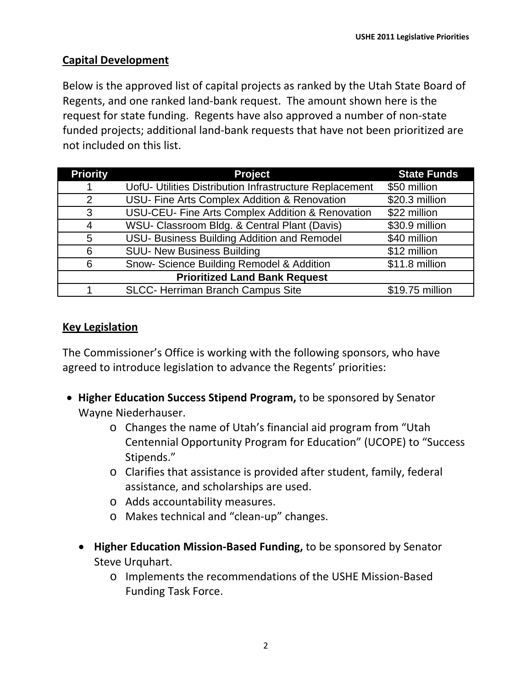# **Capital Development**

Below is the approved list of capital projects as ranked by the Utah State Board of Regents, and one ranked land‐bank request. The amount shown here is the request for state funding. Regents have also approved a number of non‐state funded projects; additional land‐bank requests that have not been prioritized are not included on this list.

| <b>Priority</b>                      | <b>Project</b>                                          | <b>State Funds</b> |  |
|--------------------------------------|---------------------------------------------------------|--------------------|--|
|                                      | UofU- Utilities Distribution Infrastructure Replacement | \$50 million       |  |
| 2                                    | USU- Fine Arts Complex Addition & Renovation            | \$20.3 million     |  |
| 3                                    | USU-CEU- Fine Arts Complex Addition & Renovation        | \$22 million       |  |
| 4                                    | WSU- Classroom Bldg. & Central Plant (Davis)            | \$30.9 million     |  |
| 5                                    | USU- Business Building Addition and Remodel             | \$40 million       |  |
| 6                                    | <b>SUU- New Business Building</b>                       | \$12 million       |  |
| 6                                    | Snow- Science Building Remodel & Addition               | \$11.8 million     |  |
| <b>Prioritized Land Bank Request</b> |                                                         |                    |  |
|                                      | <b>SLCC- Herriman Branch Campus Site</b>                | \$19.75 million    |  |

# **Key Legislation**

The Commissioner's Office is working with the following sponsors, who have agreed to introduce legislation to advance the Regents' priorities:

- **Higher Education Success Stipend Program,** to be sponsored by Senator Wayne Niederhauser.
	- o Changes the name of Utah's financial aid program from "Utah Centennial Opportunity Program for Education" (UCOPE) to "Success Stipends."
	- o Clarifies that assistance is provided after student, family, federal assistance, and scholarships are used.
	- o Adds accountability measures.
	- o Makes technical and "clean‐up" changes.
	- **Higher Education Mission‐Based Funding,** to be sponsored by Senator Steve Urquhart.
		- o Implements the recommendations of the USHE Mission‐Based Funding Task Force.